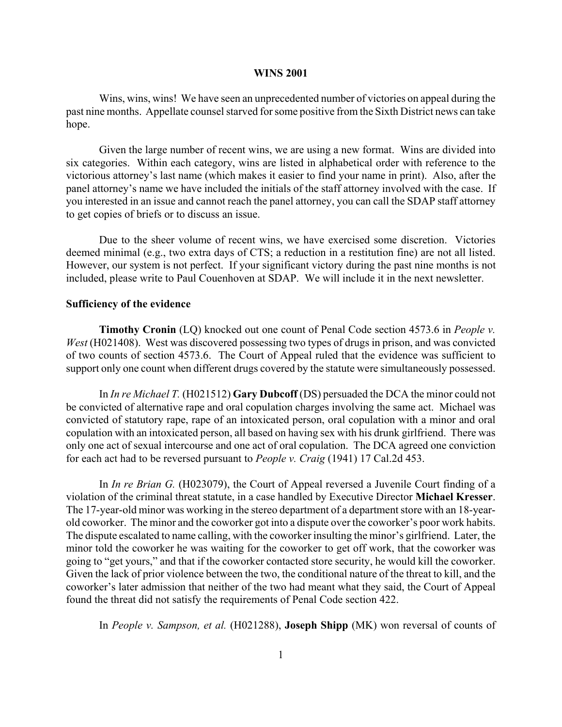### **WINS 2001**

Wins, wins, wins! We have seen an unprecedented number of victories on appeal during the past nine months. Appellate counsel starved for some positive from the Sixth District news can take hope.

Given the large number of recent wins, we are using a new format. Wins are divided into six categories. Within each category, wins are listed in alphabetical order with reference to the victorious attorney's last name (which makes it easier to find your name in print). Also, after the panel attorney's name we have included the initials of the staff attorney involved with the case. If you interested in an issue and cannot reach the panel attorney, you can call the SDAP staff attorney to get copies of briefs or to discuss an issue.

Due to the sheer volume of recent wins, we have exercised some discretion. Victories deemed minimal (e.g., two extra days of CTS; a reduction in a restitution fine) are not all listed. However, our system is not perfect. If your significant victory during the past nine months is not included, please write to Paul Couenhoven at SDAP. We will include it in the next newsletter.

### **Sufficiency of the evidence**

**Timothy Cronin** (LQ) knocked out one count of Penal Code section 4573.6 in *People v. West* (H021408). West was discovered possessing two types of drugs in prison, and was convicted of two counts of section 4573.6. The Court of Appeal ruled that the evidence was sufficient to support only one count when different drugs covered by the statute were simultaneously possessed.

In *In re Michael T.* (H021512) **Gary Dubcoff** (DS) persuaded the DCA the minor could not be convicted of alternative rape and oral copulation charges involving the same act. Michael was convicted of statutory rape, rape of an intoxicated person, oral copulation with a minor and oral copulation with an intoxicated person, all based on having sex with his drunk girlfriend. There was only one act of sexual intercourse and one act of oral copulation. The DCA agreed one conviction for each act had to be reversed pursuant to *People v. Craig* (1941) 17 Cal.2d 453.

In *In re Brian G.* (H023079), the Court of Appeal reversed a Juvenile Court finding of a violation of the criminal threat statute, in a case handled by Executive Director **Michael Kresser**. The 17-year-old minor was working in the stereo department of a department store with an 18-yearold coworker. The minor and the coworker got into a dispute over the coworker's poor work habits. The dispute escalated to name calling, with the coworker insulting the minor's girlfriend. Later, the minor told the coworker he was waiting for the coworker to get off work, that the coworker was going to "get yours," and that if the coworker contacted store security, he would kill the coworker. Given the lack of prior violence between the two, the conditional nature of the threat to kill, and the coworker's later admission that neither of the two had meant what they said, the Court of Appeal found the threat did not satisfy the requirements of Penal Code section 422.

In *People v. Sampson, et al.* (H021288), **Joseph Shipp** (MK) won reversal of counts of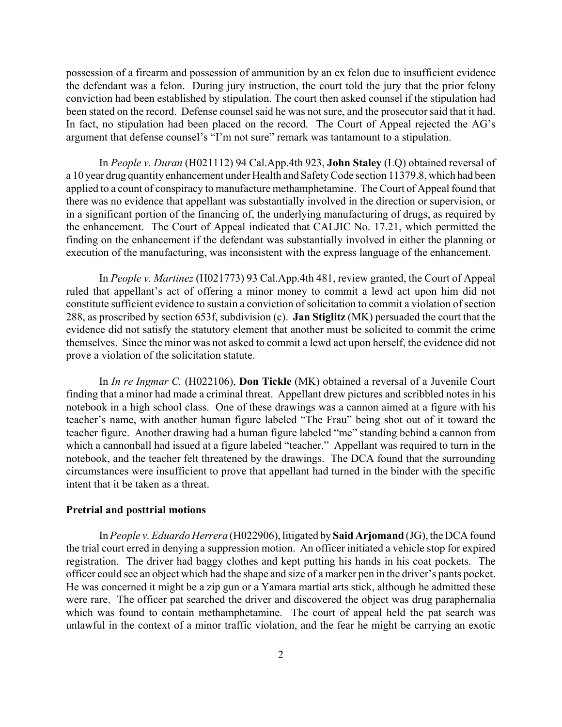possession of a firearm and possession of ammunition by an ex felon due to insufficient evidence the defendant was a felon. During jury instruction, the court told the jury that the prior felony conviction had been established by stipulation. The court then asked counsel if the stipulation had been stated on the record. Defense counsel said he was not sure, and the prosecutor said that it had. In fact, no stipulation had been placed on the record. The Court of Appeal rejected the AG's argument that defense counsel's "I'm not sure" remark was tantamount to a stipulation.

In *People v. Duran* (H021112) 94 Cal.App.4th 923, **John Staley** (LQ) obtained reversal of a 10 year drug quantity enhancement under Health and Safety Code section 11379.8, which had been applied to a count of conspiracy to manufacture methamphetamine. The Court of Appeal found that there was no evidence that appellant was substantially involved in the direction or supervision, or in a significant portion of the financing of, the underlying manufacturing of drugs, as required by the enhancement. The Court of Appeal indicated that CALJIC No. 17.21, which permitted the finding on the enhancement if the defendant was substantially involved in either the planning or execution of the manufacturing, was inconsistent with the express language of the enhancement.

In *People v. Martinez* (H021773) 93 Cal.App.4th 481, review granted, the Court of Appeal ruled that appellant's act of offering a minor money to commit a lewd act upon him did not constitute sufficient evidence to sustain a conviction of solicitation to commit a violation of section 288, as proscribed by section 653f, subdivision (c). **Jan Stiglitz** (MK) persuaded the court that the evidence did not satisfy the statutory element that another must be solicited to commit the crime themselves. Since the minor was not asked to commit a lewd act upon herself, the evidence did not prove a violation of the solicitation statute.

In *In re Ingmar C.* (H022106), **Don Tickle** (MK) obtained a reversal of a Juvenile Court finding that a minor had made a criminal threat. Appellant drew pictures and scribbled notes in his notebook in a high school class. One of these drawings was a cannon aimed at a figure with his teacher's name, with another human figure labeled "The Frau" being shot out of it toward the teacher figure. Another drawing had a human figure labeled "me" standing behind a cannon from which a cannonball had issued at a figure labeled "teacher." Appellant was required to turn in the notebook, and the teacher felt threatened by the drawings. The DCA found that the surrounding circumstances were insufficient to prove that appellant had turned in the binder with the specific intent that it be taken as a threat.

# **Pretrial and posttrial motions**

In *People v. Eduardo Herrera* (H022906), litigated by **Said Arjomand** (JG), the DCA found the trial court erred in denying a suppression motion. An officer initiated a vehicle stop for expired registration. The driver had baggy clothes and kept putting his hands in his coat pockets. The officer could see an object which had the shape and size of a marker pen in the driver's pants pocket. He was concerned it might be a zip gun or a Yamara martial arts stick, although he admitted these were rare. The officer pat searched the driver and discovered the object was drug paraphernalia which was found to contain methamphetamine. The court of appeal held the pat search was unlawful in the context of a minor traffic violation, and the fear he might be carrying an exotic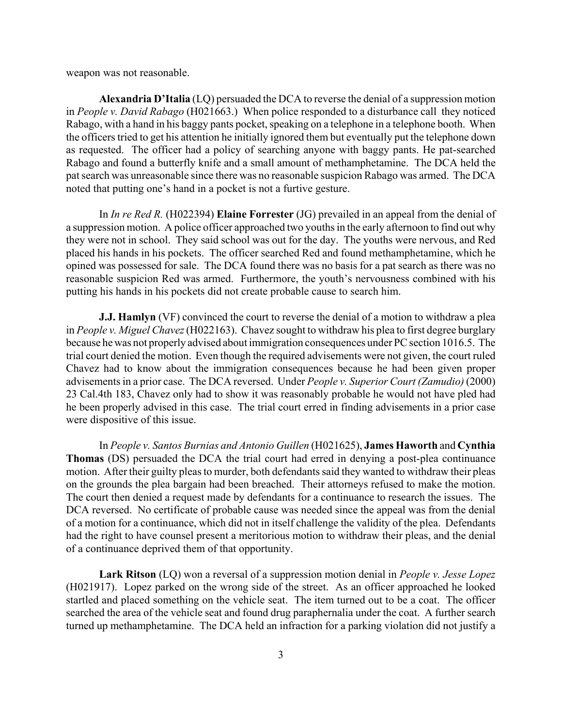weapon was not reasonable.

**Alexandria D'Italia** (LQ) persuaded the DCA to reverse the denial of a suppression motion in *People v. David Rabago* (H021663.) When police responded to a disturbance call they noticed Rabago, with a hand in his baggy pants pocket, speaking on a telephone in a telephone booth. When the officers tried to get his attention he initially ignored them but eventually put the telephone down as requested. The officer had a policy of searching anyone with baggy pants. He pat-searched Rabago and found a butterfly knife and a small amount of methamphetamine. The DCA held the pat search was unreasonable since there was no reasonable suspicion Rabago was armed. The DCA noted that putting one's hand in a pocket is not a furtive gesture.

In *In re Red R.* (H022394) **Elaine Forrester** (JG) prevailed in an appeal from the denial of a suppression motion. A police officer approached two youths in the early afternoon to find out why they were not in school. They said school was out for the day. The youths were nervous, and Red placed his hands in his pockets. The officer searched Red and found methamphetamine, which he opined was possessed for sale. The DCA found there was no basis for a pat search as there was no reasonable suspicion Red was armed. Furthermore, the youth's nervousness combined with his putting his hands in his pockets did not create probable cause to search him.

**J.J. Hamlyn** (VF) convinced the court to reverse the denial of a motion to withdraw a plea in *People v. Miguel Chavez* (H022163). Chavez sought to withdraw his plea to first degree burglary because he was not properly advised about immigration consequences under PC section 1016.5. The trial court denied the motion. Even though the required advisements were not given, the court ruled Chavez had to know about the immigration consequences because he had been given proper advisements in a prior case. The DCA reversed. Under *People v. Superior Court (Zamudio)* (2000) 23 Cal.4th 183, Chavez only had to show it was reasonably probable he would not have pled had he been properly advised in this case. The trial court erred in finding advisements in a prior case were dispositive of this issue.

In *People v. Santos Burnias and Antonio Guillen* (H021625), **James Haworth** and **Cynthia Thomas** (DS) persuaded the DCA the trial court had erred in denying a post-plea continuance motion. After their guilty pleas to murder, both defendants said they wanted to withdraw their pleas on the grounds the plea bargain had been breached. Their attorneys refused to make the motion. The court then denied a request made by defendants for a continuance to research the issues. The DCA reversed. No certificate of probable cause was needed since the appeal was from the denial of a motion for a continuance, which did not in itself challenge the validity of the plea. Defendants had the right to have counsel present a meritorious motion to withdraw their pleas, and the denial of a continuance deprived them of that opportunity.

**Lark Ritson** (LQ) won a reversal of a suppression motion denial in *People v. Jesse Lopez* (H021917). Lopez parked on the wrong side of the street. As an officer approached he looked startled and placed something on the vehicle seat. The item turned out to be a coat. The officer searched the area of the vehicle seat and found drug paraphernalia under the coat. A further search turned up methamphetamine. The DCA held an infraction for a parking violation did not justify a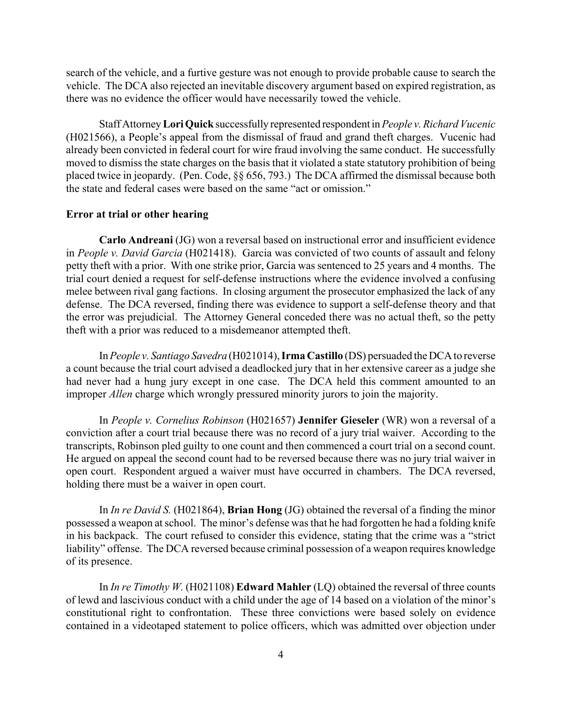search of the vehicle, and a furtive gesture was not enough to provide probable cause to search the vehicle. The DCA also rejected an inevitable discovery argument based on expired registration, as there was no evidence the officer would have necessarily towed the vehicle.

Staff Attorney **Lori Quick** successfully represented respondent in *People v. Richard Vucenic* (H021566), a People's appeal from the dismissal of fraud and grand theft charges. Vucenic had already been convicted in federal court for wire fraud involving the same conduct. He successfully moved to dismiss the state charges on the basis that it violated a state statutory prohibition of being placed twice in jeopardy. (Pen. Code, §§ 656, 793.) The DCA affirmed the dismissal because both the state and federal cases were based on the same "act or omission."

## **Error at trial or other hearing**

**Carlo Andreani** (JG) won a reversal based on instructional error and insufficient evidence in *People v. David Garcia* (H021418). Garcia was convicted of two counts of assault and felony petty theft with a prior. With one strike prior, Garcia was sentenced to 25 years and 4 months. The trial court denied a request for self-defense instructions where the evidence involved a confusing melee between rival gang factions. In closing argument the prosecutor emphasized the lack of any defense. The DCA reversed, finding there was evidence to support a self-defense theory and that the error was prejudicial. The Attorney General conceded there was no actual theft, so the petty theft with a prior was reduced to a misdemeanor attempted theft.

In *People v. Santiago Savedra* (H021014), **Irma Castillo** (DS) persuaded the DCA to reverse a count because the trial court advised a deadlocked jury that in her extensive career as a judge she had never had a hung jury except in one case. The DCA held this comment amounted to an improper *Allen* charge which wrongly pressured minority jurors to join the majority.

In *People v. Cornelius Robinson* (H021657) **Jennifer Gieseler** (WR) won a reversal of a conviction after a court trial because there was no record of a jury trial waiver. According to the transcripts, Robinson pled guilty to one count and then commenced a court trial on a second count. He argued on appeal the second count had to be reversed because there was no jury trial waiver in open court. Respondent argued a waiver must have occurred in chambers. The DCA reversed, holding there must be a waiver in open court.

In *In re David S.* (H021864), **Brian Hong** (JG) obtained the reversal of a finding the minor possessed a weapon at school. The minor's defense was that he had forgotten he had a folding knife in his backpack. The court refused to consider this evidence, stating that the crime was a "strict liability" offense. The DCA reversed because criminal possession of a weapon requires knowledge of its presence.

In *In re Timothy W.* (H021108) **Edward Mahler** (LQ) obtained the reversal of three counts of lewd and lascivious conduct with a child under the age of 14 based on a violation of the minor's constitutional right to confrontation. These three convictions were based solely on evidence contained in a videotaped statement to police officers, which was admitted over objection under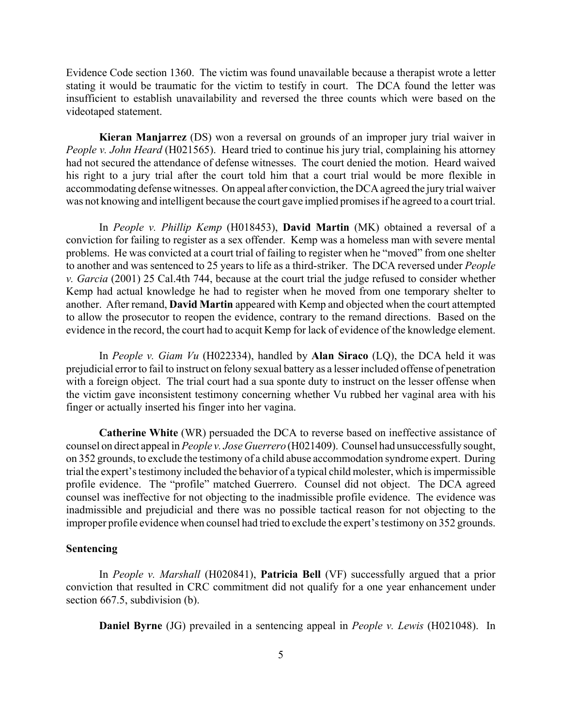Evidence Code section 1360. The victim was found unavailable because a therapist wrote a letter stating it would be traumatic for the victim to testify in court. The DCA found the letter was insufficient to establish unavailability and reversed the three counts which were based on the videotaped statement.

**Kieran Manjarrez** (DS) won a reversal on grounds of an improper jury trial waiver in *People v. John Heard* (H021565). Heard tried to continue his jury trial, complaining his attorney had not secured the attendance of defense witnesses. The court denied the motion. Heard waived his right to a jury trial after the court told him that a court trial would be more flexible in accommodating defense witnesses. On appeal after conviction, the DCA agreed the jury trial waiver was not knowing and intelligent because the court gave implied promises if he agreed to a court trial.

In *People v. Phillip Kemp* (H018453), **David Martin** (MK) obtained a reversal of a conviction for failing to register as a sex offender. Kemp was a homeless man with severe mental problems. He was convicted at a court trial of failing to register when he "moved" from one shelter to another and was sentenced to 25 years to life as a third-striker. The DCA reversed under *People v. Garcia* (2001) 25 Cal.4th 744, because at the court trial the judge refused to consider whether Kemp had actual knowledge he had to register when he moved from one temporary shelter to another. After remand, **David Martin** appeared with Kemp and objected when the court attempted to allow the prosecutor to reopen the evidence, contrary to the remand directions. Based on the evidence in the record, the court had to acquit Kemp for lack of evidence of the knowledge element.

In *People v. Giam Vu* (H022334), handled by **Alan Siraco** (LQ), the DCA held it was prejudicial error to fail to instruct on felony sexual battery as a lesser included offense of penetration with a foreign object. The trial court had a sua sponte duty to instruct on the lesser offense when the victim gave inconsistent testimony concerning whether Vu rubbed her vaginal area with his finger or actually inserted his finger into her vagina.

**Catherine White** (WR) persuaded the DCA to reverse based on ineffective assistance of counsel on direct appeal in *People v. Jose Guerrero* (H021409). Counsel had unsuccessfully sought, on 352 grounds, to exclude the testimony of a child abuse accommodation syndrome expert. During trial the expert's testimony included the behavior of a typical child molester, which is impermissible profile evidence. The "profile" matched Guerrero. Counsel did not object. The DCA agreed counsel was ineffective for not objecting to the inadmissible profile evidence. The evidence was inadmissible and prejudicial and there was no possible tactical reason for not objecting to the improper profile evidence when counsel had tried to exclude the expert's testimony on 352 grounds.

### **Sentencing**

In *People v. Marshall* (H020841), **Patricia Bell** (VF) successfully argued that a prior conviction that resulted in CRC commitment did not qualify for a one year enhancement under section 667.5, subdivision (b).

**Daniel Byrne** (JG) prevailed in a sentencing appeal in *People v. Lewis* (H021048). In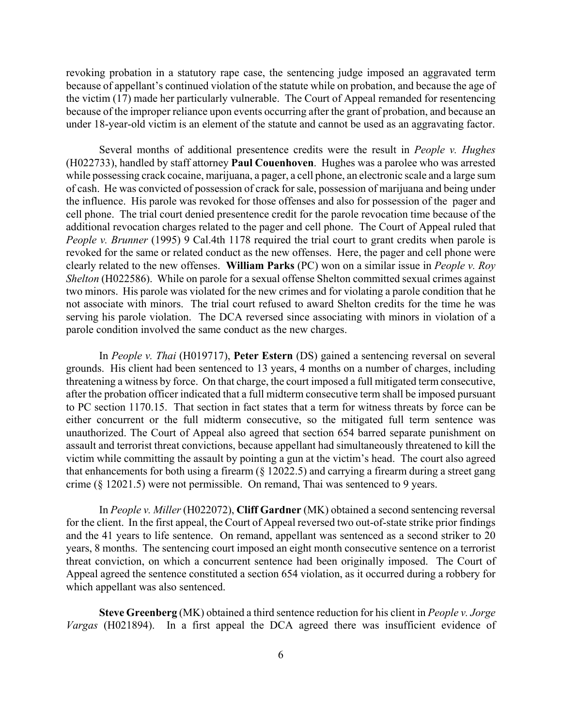revoking probation in a statutory rape case, the sentencing judge imposed an aggravated term because of appellant's continued violation of the statute while on probation, and because the age of the victim (17) made her particularly vulnerable. The Court of Appeal remanded for resentencing because of the improper reliance upon events occurring after the grant of probation, and because an under 18-year-old victim is an element of the statute and cannot be used as an aggravating factor.

Several months of additional presentence credits were the result in *People v. Hughes* (H022733), handled by staff attorney **Paul Couenhoven**. Hughes was a parolee who was arrested while possessing crack cocaine, marijuana, a pager, a cell phone, an electronic scale and a large sum of cash. He was convicted of possession of crack for sale, possession of marijuana and being under the influence. His parole was revoked for those offenses and also for possession of the pager and cell phone. The trial court denied presentence credit for the parole revocation time because of the additional revocation charges related to the pager and cell phone. The Court of Appeal ruled that *People v. Brunner* (1995) 9 Cal.4th 1178 required the trial court to grant credits when parole is revoked for the same or related conduct as the new offenses. Here, the pager and cell phone were clearly related to the new offenses. **William Parks** (PC) won on a similar issue in *People v. Roy Shelton* (H022586). While on parole for a sexual offense Shelton committed sexual crimes against two minors. His parole was violated for the new crimes and for violating a parole condition that he not associate with minors. The trial court refused to award Shelton credits for the time he was serving his parole violation. The DCA reversed since associating with minors in violation of a parole condition involved the same conduct as the new charges.

In *People v. Thai* (H019717), **Peter Estern** (DS) gained a sentencing reversal on several grounds. His client had been sentenced to 13 years, 4 months on a number of charges, including threatening a witness by force. On that charge, the court imposed a full mitigated term consecutive, after the probation officer indicated that a full midterm consecutive term shall be imposed pursuant to PC section 1170.15. That section in fact states that a term for witness threats by force can be either concurrent or the full midterm consecutive, so the mitigated full term sentence was unauthorized. The Court of Appeal also agreed that section 654 barred separate punishment on assault and terrorist threat convictions, because appellant had simultaneously threatened to kill the victim while committing the assault by pointing a gun at the victim's head. The court also agreed that enhancements for both using a firearm (§ 12022.5) and carrying a firearm during a street gang crime (§ 12021.5) were not permissible. On remand, Thai was sentenced to 9 years.

In *People v. Miller* (H022072), **Cliff Gardner** (MK) obtained a second sentencing reversal for the client. In the first appeal, the Court of Appeal reversed two out-of-state strike prior findings and the 41 years to life sentence. On remand, appellant was sentenced as a second striker to 20 years, 8 months. The sentencing court imposed an eight month consecutive sentence on a terrorist threat conviction, on which a concurrent sentence had been originally imposed. The Court of Appeal agreed the sentence constituted a section 654 violation, as it occurred during a robbery for which appellant was also sentenced.

**Steve Greenberg** (MK) obtained a third sentence reduction for his client in *People v. Jorge Vargas* (H021894). In a first appeal the DCA agreed there was insufficient evidence of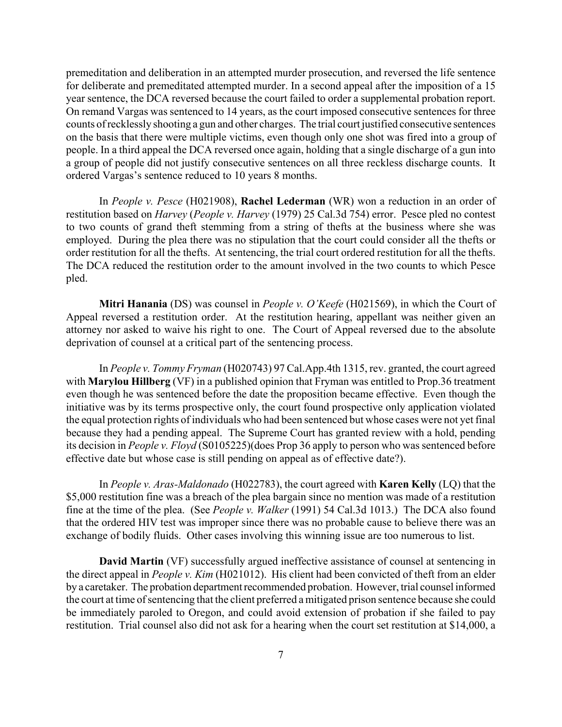premeditation and deliberation in an attempted murder prosecution, and reversed the life sentence for deliberate and premeditated attempted murder. In a second appeal after the imposition of a 15 year sentence, the DCA reversed because the court failed to order a supplemental probation report. On remand Vargas was sentenced to 14 years, as the court imposed consecutive sentences for three counts of recklessly shooting a gun and other charges. The trial court justified consecutive sentences on the basis that there were multiple victims, even though only one shot was fired into a group of people. In a third appeal the DCA reversed once again, holding that a single discharge of a gun into a group of people did not justify consecutive sentences on all three reckless discharge counts. It ordered Vargas's sentence reduced to 10 years 8 months.

In *People v. Pesce* (H021908), **Rachel Lederman** (WR) won a reduction in an order of restitution based on *Harvey* (*People v. Harvey* (1979) 25 Cal.3d 754) error. Pesce pled no contest to two counts of grand theft stemming from a string of thefts at the business where she was employed. During the plea there was no stipulation that the court could consider all the thefts or order restitution for all the thefts. At sentencing, the trial court ordered restitution for all the thefts. The DCA reduced the restitution order to the amount involved in the two counts to which Pesce pled.

**Mitri Hanania** (DS) was counsel in *People v. O'Keefe* (H021569), in which the Court of Appeal reversed a restitution order. At the restitution hearing, appellant was neither given an attorney nor asked to waive his right to one. The Court of Appeal reversed due to the absolute deprivation of counsel at a critical part of the sentencing process.

In *People v. Tommy Fryman* (H020743) 97 Cal.App.4th 1315, rev. granted, the court agreed with **Marylou Hillberg** (VF) in a published opinion that Fryman was entitled to Prop.36 treatment even though he was sentenced before the date the proposition became effective. Even though the initiative was by its terms prospective only, the court found prospective only application violated the equal protection rights of individuals who had been sentenced but whose cases were not yet final because they had a pending appeal. The Supreme Court has granted review with a hold, pending its decision in *People v. Floyd* (S0105225)(does Prop 36 apply to person who was sentenced before effective date but whose case is still pending on appeal as of effective date?).

In *People v. Aras-Maldonado* (H022783), the court agreed with **Karen Kelly** (LQ) that the \$5,000 restitution fine was a breach of the plea bargain since no mention was made of a restitution fine at the time of the plea. (See *People v. Walker* (1991) 54 Cal.3d 1013.) The DCA also found that the ordered HIV test was improper since there was no probable cause to believe there was an exchange of bodily fluids. Other cases involving this winning issue are too numerous to list.

**David Martin** (VF) successfully argued ineffective assistance of counsel at sentencing in the direct appeal in *People v. Kim* (H021012). His client had been convicted of theft from an elder by a caretaker. The probation department recommended probation. However, trial counsel informed the court at time of sentencing that the client preferred a mitigated prison sentence because she could be immediately paroled to Oregon, and could avoid extension of probation if she failed to pay restitution. Trial counsel also did not ask for a hearing when the court set restitution at \$14,000, a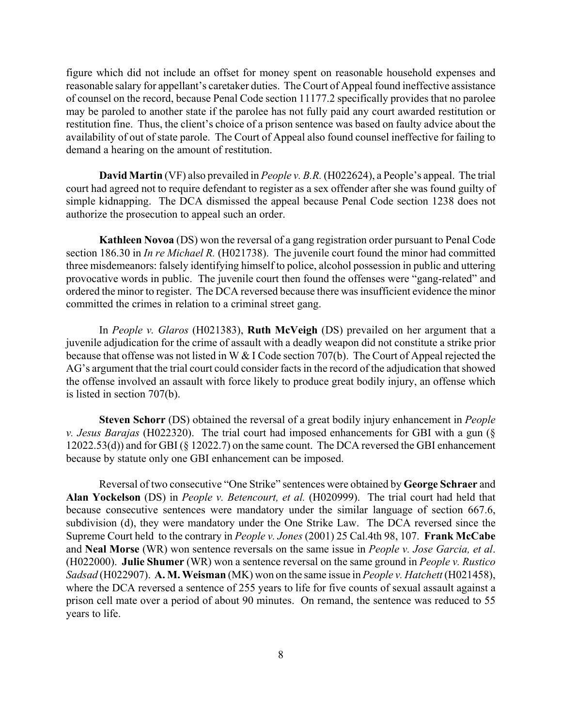figure which did not include an offset for money spent on reasonable household expenses and reasonable salary for appellant's caretaker duties. The Court of Appeal found ineffective assistance of counsel on the record, because Penal Code section 11177.2 specifically provides that no parolee may be paroled to another state if the parolee has not fully paid any court awarded restitution or restitution fine. Thus, the client's choice of a prison sentence was based on faulty advice about the availability of out of state parole. The Court of Appeal also found counsel ineffective for failing to demand a hearing on the amount of restitution.

**David Martin** (VF) also prevailed in *People v. B.R.* (H022624), a People's appeal. The trial court had agreed not to require defendant to register as a sex offender after she was found guilty of simple kidnapping. The DCA dismissed the appeal because Penal Code section 1238 does not authorize the prosecution to appeal such an order.

**Kathleen Novoa** (DS) won the reversal of a gang registration order pursuant to Penal Code section 186.30 in *In re Michael R.* (H021738). The juvenile court found the minor had committed three misdemeanors: falsely identifying himself to police, alcohol possession in public and uttering provocative words in public. The juvenile court then found the offenses were "gang-related" and ordered the minor to register. The DCA reversed because there was insufficient evidence the minor committed the crimes in relation to a criminal street gang.

In *People v. Glaros* (H021383), **Ruth McVeigh** (DS) prevailed on her argument that a juvenile adjudication for the crime of assault with a deadly weapon did not constitute a strike prior because that offense was not listed in W & I Code section 707(b). The Court of Appeal rejected the AG's argument that the trial court could consider facts in the record of the adjudication that showed the offense involved an assault with force likely to produce great bodily injury, an offense which is listed in section 707(b).

**Steven Schorr** (DS) obtained the reversal of a great bodily injury enhancement in *People v. Jesus Barajas* (H022320). The trial court had imposed enhancements for GBI with a gun (§ 12022.53(d)) and for GBI (§ 12022.7) on the same count. The DCA reversed the GBI enhancement because by statute only one GBI enhancement can be imposed.

Reversal of two consecutive "One Strike" sentences were obtained by **George Schraer** and **Alan Yockelson** (DS) in *People v. Betencourt, et al.* (H020999). The trial court had held that because consecutive sentences were mandatory under the similar language of section 667.6, subdivision (d), they were mandatory under the One Strike Law. The DCA reversed since the Supreme Court held to the contrary in *People v. Jones* (2001) 25 Cal.4th 98, 107. **Frank McCabe** and **Neal Morse** (WR) won sentence reversals on the same issue in *People v. Jose Garcia, et al*. (H022000). **Julie Shumer** (WR) won a sentence reversal on the same ground in *People v. Rustico Sadsad* (H022907). **A. M. Weisman** (MK) won on the same issue in *People v. Hatchett* (H021458), where the DCA reversed a sentence of 255 years to life for five counts of sexual assault against a prison cell mate over a period of about 90 minutes. On remand, the sentence was reduced to 55 years to life.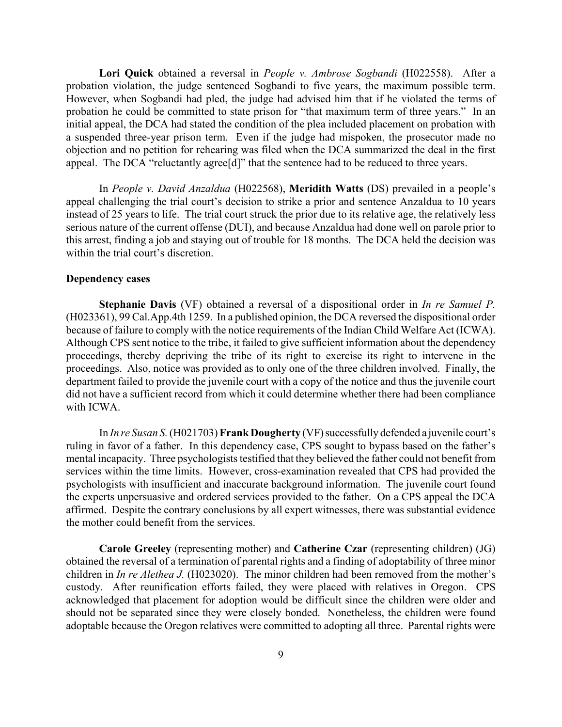**Lori Quick** obtained a reversal in *People v. Ambrose Sogbandi* (H022558). After a probation violation, the judge sentenced Sogbandi to five years, the maximum possible term. However, when Sogbandi had pled, the judge had advised him that if he violated the terms of probation he could be committed to state prison for "that maximum term of three years." In an initial appeal, the DCA had stated the condition of the plea included placement on probation with a suspended three-year prison term. Even if the judge had mispoken, the prosecutor made no objection and no petition for rehearing was filed when the DCA summarized the deal in the first appeal. The DCA "reluctantly agree<sup>[d]"</sup> that the sentence had to be reduced to three years.

In *People v. David Anzaldua* (H022568), **Meridith Watts** (DS) prevailed in a people's appeal challenging the trial court's decision to strike a prior and sentence Anzaldua to 10 years instead of 25 years to life. The trial court struck the prior due to its relative age, the relatively less serious nature of the current offense (DUI), and because Anzaldua had done well on parole prior to this arrest, finding a job and staying out of trouble for 18 months. The DCA held the decision was within the trial court's discretion.

### **Dependency cases**

**Stephanie Davis** (VF) obtained a reversal of a dispositional order in *In re Samuel P.* (H023361), 99 Cal.App.4th 1259. In a published opinion, the DCA reversed the dispositional order because of failure to comply with the notice requirements of the Indian Child Welfare Act (ICWA). Although CPS sent notice to the tribe, it failed to give sufficient information about the dependency proceedings, thereby depriving the tribe of its right to exercise its right to intervene in the proceedings. Also, notice was provided as to only one of the three children involved. Finally, the department failed to provide the juvenile court with a copy of the notice and thus the juvenile court did not have a sufficient record from which it could determine whether there had been compliance with ICWA.

In *In re Susan S.* (H021703) **Frank Dougherty** (VF) successfully defended a juvenile court's ruling in favor of a father. In this dependency case, CPS sought to bypass based on the father's mental incapacity. Three psychologists testified that they believed the father could not benefit from services within the time limits. However, cross-examination revealed that CPS had provided the psychologists with insufficient and inaccurate background information. The juvenile court found the experts unpersuasive and ordered services provided to the father. On a CPS appeal the DCA affirmed. Despite the contrary conclusions by all expert witnesses, there was substantial evidence the mother could benefit from the services.

**Carole Greeley** (representing mother) and **Catherine Czar** (representing children) (JG) obtained the reversal of a termination of parental rights and a finding of adoptability of three minor children in *In re Alethea J.* (H023020). The minor children had been removed from the mother's custody. After reunification efforts failed, they were placed with relatives in Oregon. CPS acknowledged that placement for adoption would be difficult since the children were older and should not be separated since they were closely bonded. Nonetheless, the children were found adoptable because the Oregon relatives were committed to adopting all three. Parental rights were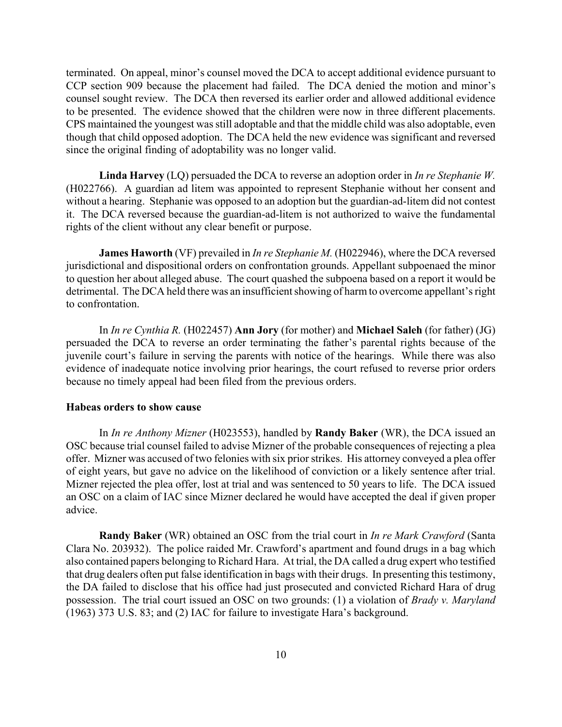terminated. On appeal, minor's counsel moved the DCA to accept additional evidence pursuant to CCP section 909 because the placement had failed. The DCA denied the motion and minor's counsel sought review. The DCA then reversed its earlier order and allowed additional evidence to be presented. The evidence showed that the children were now in three different placements. CPS maintained the youngest was still adoptable and that the middle child was also adoptable, even though that child opposed adoption. The DCA held the new evidence was significant and reversed since the original finding of adoptability was no longer valid.

**Linda Harvey** (LQ) persuaded the DCA to reverse an adoption order in *In re Stephanie W.* (H022766). A guardian ad litem was appointed to represent Stephanie without her consent and without a hearing. Stephanie was opposed to an adoption but the guardian-ad-litem did not contest it. The DCA reversed because the guardian-ad-litem is not authorized to waive the fundamental rights of the client without any clear benefit or purpose.

**James Haworth** (VF) prevailed in *In re Stephanie M.* (H022946), where the DCA reversed jurisdictional and dispositional orders on confrontation grounds. Appellant subpoenaed the minor to question her about alleged abuse. The court quashed the subpoena based on a report it would be detrimental. The DCA held there was an insufficient showing of harm to overcome appellant's right to confrontation.

In *In re Cynthia R.* (H022457) **Ann Jory** (for mother) and **Michael Saleh** (for father) (JG) persuaded the DCA to reverse an order terminating the father's parental rights because of the juvenile court's failure in serving the parents with notice of the hearings. While there was also evidence of inadequate notice involving prior hearings, the court refused to reverse prior orders because no timely appeal had been filed from the previous orders.

#### **Habeas orders to show cause**

In *In re Anthony Mizner* (H023553), handled by **Randy Baker** (WR), the DCA issued an OSC because trial counsel failed to advise Mizner of the probable consequences of rejecting a plea offer. Mizner was accused of two felonies with six prior strikes. His attorney conveyed a plea offer of eight years, but gave no advice on the likelihood of conviction or a likely sentence after trial. Mizner rejected the plea offer, lost at trial and was sentenced to 50 years to life. The DCA issued an OSC on a claim of IAC since Mizner declared he would have accepted the deal if given proper advice.

**Randy Baker** (WR) obtained an OSC from the trial court in *In re Mark Crawford* (Santa Clara No. 203932). The police raided Mr. Crawford's apartment and found drugs in a bag which also contained papers belonging to Richard Hara. At trial, the DA called a drug expert who testified that drug dealers often put false identification in bags with their drugs. In presenting this testimony, the DA failed to disclose that his office had just prosecuted and convicted Richard Hara of drug possession. The trial court issued an OSC on two grounds: (1) a violation of *Brady v. Maryland* (1963) 373 U.S. 83; and (2) IAC for failure to investigate Hara's background.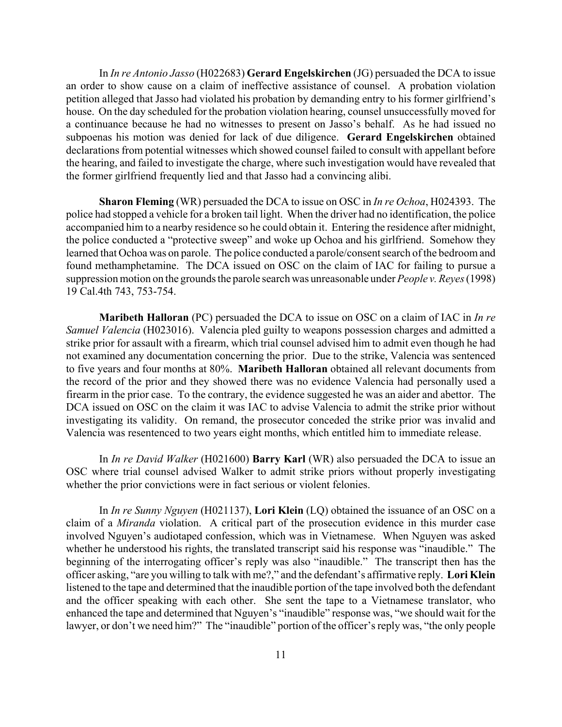In *In re Antonio Jasso* (H022683) **Gerard Engelskirchen** (JG) persuaded the DCA to issue an order to show cause on a claim of ineffective assistance of counsel. A probation violation petition alleged that Jasso had violated his probation by demanding entry to his former girlfriend's house. On the day scheduled for the probation violation hearing, counsel unsuccessfully moved for a continuance because he had no witnesses to present on Jasso's behalf. As he had issued no subpoenas his motion was denied for lack of due diligence. **Gerard Engelskirchen** obtained declarations from potential witnesses which showed counsel failed to consult with appellant before the hearing, and failed to investigate the charge, where such investigation would have revealed that the former girlfriend frequently lied and that Jasso had a convincing alibi.

**Sharon Fleming** (WR) persuaded the DCA to issue on OSC in *In re Ochoa*, H024393. The police had stopped a vehicle for a broken tail light. When the driver had no identification, the police accompanied him to a nearby residence so he could obtain it. Entering the residence after midnight, the police conducted a "protective sweep" and woke up Ochoa and his girlfriend. Somehow they learned that Ochoa was on parole. The police conducted a parole/consent search of the bedroom and found methamphetamine. The DCA issued on OSC on the claim of IAC for failing to pursue a suppression motion on the grounds the parole search was unreasonable under *People v. Reyes* (1998) 19 Cal.4th 743, 753-754.

**Maribeth Halloran** (PC) persuaded the DCA to issue on OSC on a claim of IAC in *In re Samuel Valencia* (H023016). Valencia pled guilty to weapons possession charges and admitted a strike prior for assault with a firearm, which trial counsel advised him to admit even though he had not examined any documentation concerning the prior. Due to the strike, Valencia was sentenced to five years and four months at 80%. **Maribeth Halloran** obtained all relevant documents from the record of the prior and they showed there was no evidence Valencia had personally used a firearm in the prior case. To the contrary, the evidence suggested he was an aider and abettor. The DCA issued on OSC on the claim it was IAC to advise Valencia to admit the strike prior without investigating its validity. On remand, the prosecutor conceded the strike prior was invalid and Valencia was resentenced to two years eight months, which entitled him to immediate release.

In *In re David Walker* (H021600) **Barry Karl** (WR) also persuaded the DCA to issue an OSC where trial counsel advised Walker to admit strike priors without properly investigating whether the prior convictions were in fact serious or violent felonies.

In *In re Sunny Nguyen* (H021137), **Lori Klein** (LQ) obtained the issuance of an OSC on a claim of a *Miranda* violation. A critical part of the prosecution evidence in this murder case involved Nguyen's audiotaped confession, which was in Vietnamese. When Nguyen was asked whether he understood his rights, the translated transcript said his response was "inaudible." The beginning of the interrogating officer's reply was also "inaudible." The transcript then has the officer asking, "are you willing to talk with me?," and the defendant's affirmative reply. **Lori Klein** listened to the tape and determined that the inaudible portion of the tape involved both the defendant and the officer speaking with each other. She sent the tape to a Vietnamese translator, who enhanced the tape and determined that Nguyen's "inaudible" response was, "we should wait for the lawyer, or don't we need him?" The "inaudible" portion of the officer's reply was, "the only people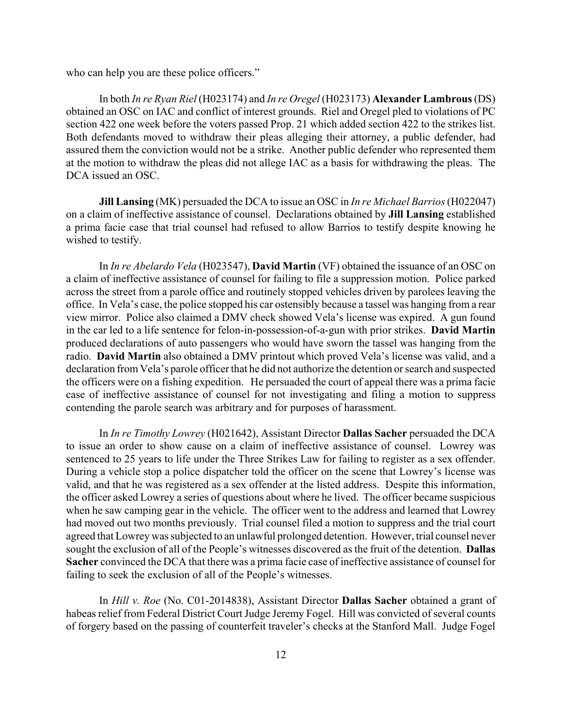who can help you are these police officers."

In both *In re Ryan Riel* (H023174) and *In re Oregel* (H023173) **Alexander Lambrous** (DS) obtained an OSC on IAC and conflict of interest grounds. Riel and Oregel pled to violations of PC section 422 one week before the voters passed Prop. 21 which added section 422 to the strikes list. Both defendants moved to withdraw their pleas alleging their attorney, a public defender, had assured them the conviction would not be a strike. Another public defender who represented them at the motion to withdraw the pleas did not allege IAC as a basis for withdrawing the pleas. The DCA issued an OSC.

**Jill Lansing** (MK) persuaded the DCA to issue an OSC in *In re Michael Barrios*(H022047) on a claim of ineffective assistance of counsel. Declarations obtained by **Jill Lansing** established a prima facie case that trial counsel had refused to allow Barrios to testify despite knowing he wished to testify.

In *In re Abelardo Vela* (H023547), **David Martin** (VF) obtained the issuance of an OSC on a claim of ineffective assistance of counsel for failing to file a suppression motion. Police parked across the street from a parole office and routinely stopped vehicles driven by parolees leaving the office. In Vela's case, the police stopped his car ostensibly because a tassel was hanging from a rear view mirror. Police also claimed a DMV check showed Vela's license was expired. A gun found in the car led to a life sentence for felon-in-possession-of-a-gun with prior strikes. **David Martin** produced declarations of auto passengers who would have sworn the tassel was hanging from the radio. **David Martin** also obtained a DMV printout which proved Vela's license was valid, and a declaration from Vela's parole officer that he did not authorize the detention or search and suspected the officers were on a fishing expedition. He persuaded the court of appeal there was a prima facie case of ineffective assistance of counsel for not investigating and filing a motion to suppress contending the parole search was arbitrary and for purposes of harassment.

In *In re Timothy Lowrey* (H021642), Assistant Director **Dallas Sacher** persuaded the DCA to issue an order to show cause on a claim of ineffective assistance of counsel. Lowrey was sentenced to 25 years to life under the Three Strikes Law for failing to register as a sex offender. During a vehicle stop a police dispatcher told the officer on the scene that Lowrey's license was valid, and that he was registered as a sex offender at the listed address. Despite this information, the officer asked Lowrey a series of questions about where he lived. The officer became suspicious when he saw camping gear in the vehicle. The officer went to the address and learned that Lowrey had moved out two months previously. Trial counsel filed a motion to suppress and the trial court agreed that Lowrey was subjected to an unlawful prolonged detention. However, trial counsel never sought the exclusion of all of the People's witnesses discovered as the fruit of the detention. **Dallas Sacher** convinced the DCA that there was a prima facie case of ineffective assistance of counsel for failing to seek the exclusion of all of the People's witnesses.

In *Hill v. Roe* (No. C01-2014838), Assistant Director **Dallas Sacher** obtained a grant of habeas relief from Federal District Court Judge Jeremy Fogel. Hill was convicted of several counts of forgery based on the passing of counterfeit traveler's checks at the Stanford Mall. Judge Fogel